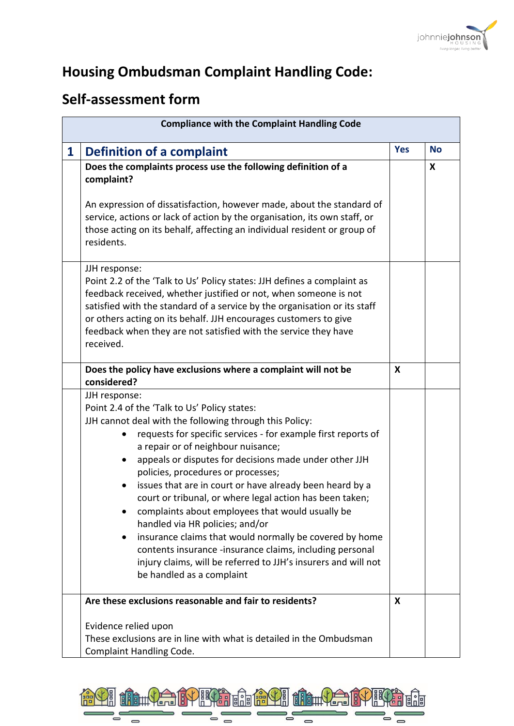

## **Housing Ombudsman Complaint Handling Code:**

## **Self-assessment form**

|              | <b>Compliance with the Complaint Handling Code</b>                                                                                                                                                                                                                                                                                                                                                                                                                                                                                                                                                                                                                                                                                                                   |            |           |  |  |
|--------------|----------------------------------------------------------------------------------------------------------------------------------------------------------------------------------------------------------------------------------------------------------------------------------------------------------------------------------------------------------------------------------------------------------------------------------------------------------------------------------------------------------------------------------------------------------------------------------------------------------------------------------------------------------------------------------------------------------------------------------------------------------------------|------------|-----------|--|--|
| $\mathbf{1}$ | <b>Definition of a complaint</b>                                                                                                                                                                                                                                                                                                                                                                                                                                                                                                                                                                                                                                                                                                                                     | <b>Yes</b> | <b>No</b> |  |  |
|              | Does the complaints process use the following definition of a<br>complaint?<br>An expression of dissatisfaction, however made, about the standard of<br>service, actions or lack of action by the organisation, its own staff, or<br>those acting on its behalf, affecting an individual resident or group of<br>residents.                                                                                                                                                                                                                                                                                                                                                                                                                                          |            | X         |  |  |
|              | JJH response:<br>Point 2.2 of the 'Talk to Us' Policy states: JJH defines a complaint as<br>feedback received, whether justified or not, when someone is not<br>satisfied with the standard of a service by the organisation or its staff<br>or others acting on its behalf. JJH encourages customers to give<br>feedback when they are not satisfied with the service they have<br>received.                                                                                                                                                                                                                                                                                                                                                                        |            |           |  |  |
|              | Does the policy have exclusions where a complaint will not be<br>considered?                                                                                                                                                                                                                                                                                                                                                                                                                                                                                                                                                                                                                                                                                         | X          |           |  |  |
|              | JJH response:<br>Point 2.4 of the 'Talk to Us' Policy states:<br>JJH cannot deal with the following through this Policy:<br>requests for specific services - for example first reports of<br>a repair or of neighbour nuisance;<br>appeals or disputes for decisions made under other JJH<br>policies, procedures or processes;<br>issues that are in court or have already been heard by a<br>court or tribunal, or where legal action has been taken;<br>complaints about employees that would usually be<br>handled via HR policies; and/or<br>insurance claims that would normally be covered by home<br>contents insurance -insurance claims, including personal<br>injury claims, will be referred to JJH's insurers and will not<br>be handled as a complaint |            |           |  |  |
|              | Are these exclusions reasonable and fair to residents?<br>Evidence relied upon<br>These exclusions are in line with what is detailed in the Ombudsman<br>Complaint Handling Code.                                                                                                                                                                                                                                                                                                                                                                                                                                                                                                                                                                                    | X          |           |  |  |

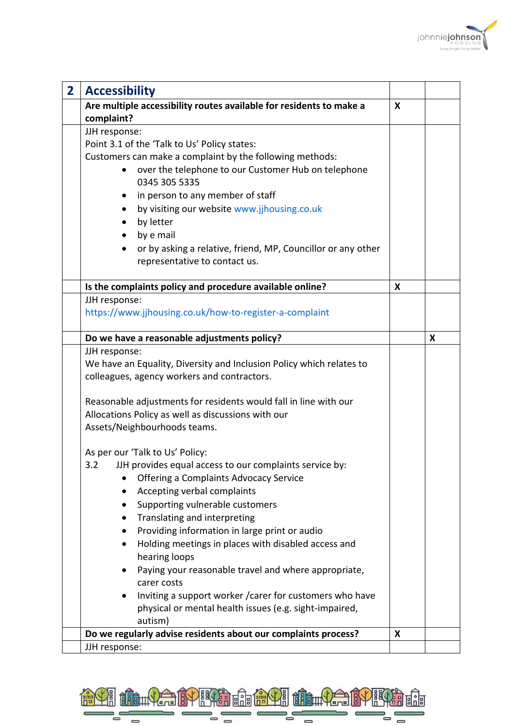

| $\overline{2}$ | <b>Accessibility</b>                                                      |   |   |
|----------------|---------------------------------------------------------------------------|---|---|
|                | Are multiple accessibility routes available for residents to make a       | X |   |
|                | complaint?                                                                |   |   |
|                | JJH response:                                                             |   |   |
|                | Point 3.1 of the 'Talk to Us' Policy states:                              |   |   |
|                | Customers can make a complaint by the following methods:                  |   |   |
|                | over the telephone to our Customer Hub on telephone                       |   |   |
|                | 0345 305 5335                                                             |   |   |
|                | in person to any member of staff<br>$\bullet$                             |   |   |
|                | by visiting our website www.jjhousing.co.uk<br>$\bullet$                  |   |   |
|                | by letter                                                                 |   |   |
|                | by e mail                                                                 |   |   |
|                | or by asking a relative, friend, MP, Councillor or any other<br>$\bullet$ |   |   |
|                | representative to contact us.                                             |   |   |
|                |                                                                           |   |   |
|                | Is the complaints policy and procedure available online?                  | X |   |
|                | JJH response:                                                             |   |   |
|                | https://www.jjhousing.co.uk/how-to-register-a-complaint                   |   |   |
|                |                                                                           |   |   |
|                | Do we have a reasonable adjustments policy?                               |   | X |
|                | JJH response:                                                             |   |   |
|                | We have an Equality, Diversity and Inclusion Policy which relates to      |   |   |
|                | colleagues, agency workers and contractors.                               |   |   |
|                | Reasonable adjustments for residents would fall in line with our          |   |   |
|                | Allocations Policy as well as discussions with our                        |   |   |
|                | Assets/Neighbourhoods teams.                                              |   |   |
|                |                                                                           |   |   |
|                | As per our 'Talk to Us' Policy:                                           |   |   |
|                | 3.2<br>JJH provides equal access to our complaints service by:            |   |   |
|                | Offering a Complaints Advocacy Service                                    |   |   |
|                | Accepting verbal complaints                                               |   |   |
|                | Supporting vulnerable customers                                           |   |   |
|                | Translating and interpreting                                              |   |   |
|                | Providing information in large print or audio                             |   |   |
|                | Holding meetings in places with disabled access and                       |   |   |
|                | hearing loops                                                             |   |   |
|                | Paying your reasonable travel and where appropriate,                      |   |   |
|                | carer costs                                                               |   |   |
|                | Inviting a support worker / carer for customers who have                  |   |   |
|                | physical or mental health issues (e.g. sight-impaired,                    |   |   |
|                | autism)                                                                   |   |   |
|                | Do we regularly advise residents about our complaints process?            | X |   |
|                | JJH response:                                                             |   |   |

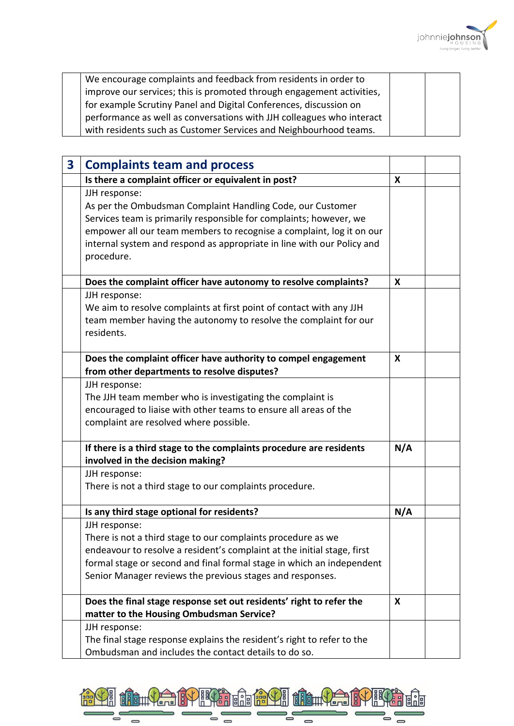

| We encourage complaints and feedback from residents in order to       |  |
|-----------------------------------------------------------------------|--|
| improve our services; this is promoted through engagement activities, |  |
| for example Scrutiny Panel and Digital Conferences, discussion on     |  |
| performance as well as conversations with JJH colleagues who interact |  |
| with residents such as Customer Services and Neighbourhood teams.     |  |

| $\overline{\mathbf{3}}$ | <b>Complaints team and process</b>                                                                                                                                                                                                                                                                                |     |  |
|-------------------------|-------------------------------------------------------------------------------------------------------------------------------------------------------------------------------------------------------------------------------------------------------------------------------------------------------------------|-----|--|
|                         | Is there a complaint officer or equivalent in post?                                                                                                                                                                                                                                                               | X   |  |
|                         | JJH response:<br>As per the Ombudsman Complaint Handling Code, our Customer<br>Services team is primarily responsible for complaints; however, we<br>empower all our team members to recognise a complaint, log it on our<br>internal system and respond as appropriate in line with our Policy and<br>procedure. |     |  |
|                         | Does the complaint officer have autonomy to resolve complaints?                                                                                                                                                                                                                                                   | X   |  |
|                         | JJH response:<br>We aim to resolve complaints at first point of contact with any JJH<br>team member having the autonomy to resolve the complaint for our<br>residents.                                                                                                                                            |     |  |
|                         | Does the complaint officer have authority to compel engagement<br>from other departments to resolve disputes?                                                                                                                                                                                                     | X   |  |
|                         | JJH response:<br>The JJH team member who is investigating the complaint is<br>encouraged to liaise with other teams to ensure all areas of the<br>complaint are resolved where possible.                                                                                                                          |     |  |
|                         | If there is a third stage to the complaints procedure are residents<br>involved in the decision making?                                                                                                                                                                                                           | N/A |  |
|                         | JJH response:<br>There is not a third stage to our complaints procedure.                                                                                                                                                                                                                                          |     |  |
|                         | Is any third stage optional for residents?                                                                                                                                                                                                                                                                        | N/A |  |
|                         | JJH response:<br>There is not a third stage to our complaints procedure as we<br>endeavour to resolve a resident's complaint at the initial stage, first<br>formal stage or second and final formal stage in which an independent<br>Senior Manager reviews the previous stages and responses.                    |     |  |
|                         | Does the final stage response set out residents' right to refer the<br>matter to the Housing Ombudsman Service?                                                                                                                                                                                                   | X   |  |
|                         | JJH response:<br>The final stage response explains the resident's right to refer to the<br>Ombudsman and includes the contact details to do so.                                                                                                                                                                   |     |  |

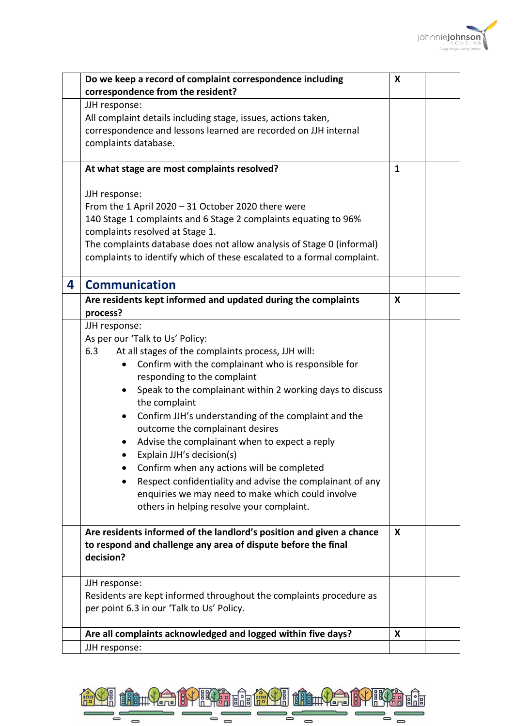

|   | Do we keep a record of complaint correspondence including                  | X |  |
|---|----------------------------------------------------------------------------|---|--|
|   | correspondence from the resident?                                          |   |  |
|   | JJH response:                                                              |   |  |
|   | All complaint details including stage, issues, actions taken,              |   |  |
|   | correspondence and lessons learned are recorded on JJH internal            |   |  |
|   | complaints database.                                                       |   |  |
|   |                                                                            |   |  |
|   | At what stage are most complaints resolved?                                | 1 |  |
|   |                                                                            |   |  |
|   | JJH response:                                                              |   |  |
|   | From the 1 April 2020 - 31 October 2020 there were                         |   |  |
|   | 140 Stage 1 complaints and 6 Stage 2 complaints equating to 96%            |   |  |
|   | complaints resolved at Stage 1.                                            |   |  |
|   | The complaints database does not allow analysis of Stage 0 (informal)      |   |  |
|   | complaints to identify which of these escalated to a formal complaint.     |   |  |
|   |                                                                            |   |  |
| 4 | <b>Communication</b>                                                       |   |  |
|   | Are residents kept informed and updated during the complaints              | X |  |
|   | process?                                                                   |   |  |
|   | JJH response:                                                              |   |  |
|   | As per our 'Talk to Us' Policy:                                            |   |  |
|   | At all stages of the complaints process, JJH will:<br>6.3                  |   |  |
|   | Confirm with the complainant who is responsible for<br>$\bullet$           |   |  |
|   | responding to the complaint                                                |   |  |
|   | Speak to the complainant within 2 working days to discuss<br>٠             |   |  |
|   | the complaint                                                              |   |  |
|   | Confirm JJH's understanding of the complaint and the<br>$\bullet$          |   |  |
|   | outcome the complainant desires                                            |   |  |
|   | Advise the complainant when to expect a reply                              |   |  |
|   | Explain JJH's decision(s)                                                  |   |  |
|   |                                                                            |   |  |
|   | Confirm when any actions will be completed                                 |   |  |
|   | Respect confidentiality and advise the complainant of any                  |   |  |
|   | enquiries we may need to make which could involve                          |   |  |
|   | others in helping resolve your complaint.                                  |   |  |
|   |                                                                            | X |  |
|   | Are residents informed of the landlord's position and given a chance       |   |  |
|   | to respond and challenge any area of dispute before the final<br>decision? |   |  |
|   |                                                                            |   |  |
|   | JJH response:                                                              |   |  |
|   | Residents are kept informed throughout the complaints procedure as         |   |  |
|   | per point 6.3 in our 'Talk to Us' Policy.                                  |   |  |
|   |                                                                            |   |  |
|   | Are all complaints acknowledged and logged within five days?               | X |  |
|   | JJH response:                                                              |   |  |

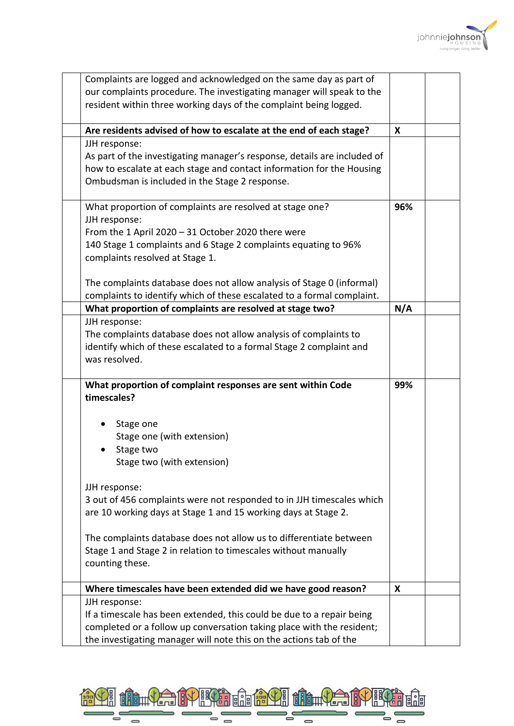

| Complaints are logged and acknowledged on the same day as part of                                                                              |     |  |
|------------------------------------------------------------------------------------------------------------------------------------------------|-----|--|
| our complaints procedure. The investigating manager will speak to the                                                                          |     |  |
| resident within three working days of the complaint being logged.                                                                              |     |  |
| Are residents advised of how to escalate at the end of each stage?                                                                             | X   |  |
| JJH response:                                                                                                                                  |     |  |
| As part of the investigating manager's response, details are included of                                                                       |     |  |
| how to escalate at each stage and contact information for the Housing<br>Ombudsman is included in the Stage 2 response.                        |     |  |
|                                                                                                                                                |     |  |
| What proportion of complaints are resolved at stage one?                                                                                       | 96% |  |
| JJH response:                                                                                                                                  |     |  |
| From the 1 April $2020 - 31$ October 2020 there were<br>140 Stage 1 complaints and 6 Stage 2 complaints equating to 96%                        |     |  |
| complaints resolved at Stage 1.                                                                                                                |     |  |
|                                                                                                                                                |     |  |
| The complaints database does not allow analysis of Stage 0 (informal)                                                                          |     |  |
| complaints to identify which of these escalated to a formal complaint.                                                                         |     |  |
| What proportion of complaints are resolved at stage two?                                                                                       | N/A |  |
| JJH response:<br>The complaints database does not allow analysis of complaints to                                                              |     |  |
| identify which of these escalated to a formal Stage 2 complaint and                                                                            |     |  |
| was resolved.                                                                                                                                  |     |  |
|                                                                                                                                                |     |  |
| What proportion of complaint responses are sent within Code                                                                                    | 99% |  |
| timescales?                                                                                                                                    |     |  |
| Stage one                                                                                                                                      |     |  |
| Stage one (with extension)                                                                                                                     |     |  |
| Stage two                                                                                                                                      |     |  |
| Stage two (with extension)                                                                                                                     |     |  |
| JJH response:                                                                                                                                  |     |  |
| 3 out of 456 complaints were not responded to in JJH timescales which                                                                          |     |  |
| are 10 working days at Stage 1 and 15 working days at Stage 2.                                                                                 |     |  |
| The complaints database does not allow us to differentiate between                                                                             |     |  |
| Stage 1 and Stage 2 in relation to timescales without manually                                                                                 |     |  |
| counting these.                                                                                                                                |     |  |
|                                                                                                                                                |     |  |
| Where timescales have been extended did we have good reason?                                                                                   | X   |  |
| JJH response:                                                                                                                                  |     |  |
| If a timescale has been extended, this could be due to a repair being<br>completed or a follow up conversation taking place with the resident; |     |  |
| the investigating manager will note this on the actions tab of the                                                                             |     |  |

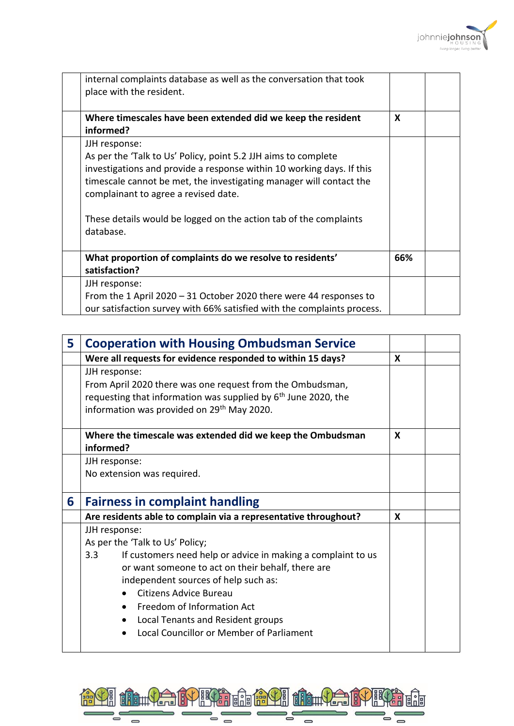

| internal complaints database as well as the conversation that took<br>place with the resident.                                                                                                                                                                                                                                                            |     |  |
|-----------------------------------------------------------------------------------------------------------------------------------------------------------------------------------------------------------------------------------------------------------------------------------------------------------------------------------------------------------|-----|--|
| Where timescales have been extended did we keep the resident<br>informed?                                                                                                                                                                                                                                                                                 | X   |  |
| JJH response:<br>As per the 'Talk to Us' Policy, point 5.2 JJH aims to complete<br>investigations and provide a response within 10 working days. If this<br>timescale cannot be met, the investigating manager will contact the<br>complainant to agree a revised date.<br>These details would be logged on the action tab of the complaints<br>database. |     |  |
| What proportion of complaints do we resolve to residents'<br>satisfaction?                                                                                                                                                                                                                                                                                | 66% |  |
| JJH response:<br>From the 1 April 2020 - 31 October 2020 there were 44 responses to<br>our satisfaction survey with 66% satisfied with the complaints process.                                                                                                                                                                                            |     |  |

| 5 | <b>Cooperation with Housing Ombudsman Service</b>                                                                                                                                                                                                                                                                                                             |   |  |
|---|---------------------------------------------------------------------------------------------------------------------------------------------------------------------------------------------------------------------------------------------------------------------------------------------------------------------------------------------------------------|---|--|
|   | Were all requests for evidence responded to within 15 days?                                                                                                                                                                                                                                                                                                   | X |  |
|   | JJH response:<br>From April 2020 there was one request from the Ombudsman,<br>requesting that information was supplied by 6 <sup>th</sup> June 2020, the<br>information was provided on 29 <sup>th</sup> May 2020.                                                                                                                                            |   |  |
|   | Where the timescale was extended did we keep the Ombudsman<br>informed?                                                                                                                                                                                                                                                                                       | X |  |
|   | JJH response:                                                                                                                                                                                                                                                                                                                                                 |   |  |
|   | No extension was required.                                                                                                                                                                                                                                                                                                                                    |   |  |
| 6 | <b>Fairness in complaint handling</b>                                                                                                                                                                                                                                                                                                                         |   |  |
|   | Are residents able to complain via a representative throughout?                                                                                                                                                                                                                                                                                               | X |  |
|   | JJH response:<br>As per the 'Talk to Us' Policy;<br>If customers need help or advice in making a complaint to us<br>3.3<br>or want someone to act on their behalf, there are<br>independent sources of help such as:<br>Citizens Advice Bureau<br>Freedom of Information Act<br>Local Tenants and Resident groups<br>Local Councillor or Member of Parliament |   |  |

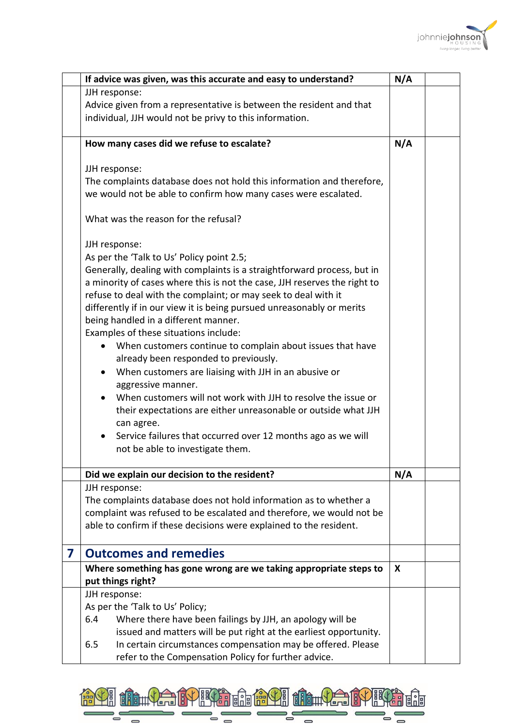

|   | If advice was given, was this accurate and easy to understand?                                                                             | N/A |
|---|--------------------------------------------------------------------------------------------------------------------------------------------|-----|
|   | JJH response:                                                                                                                              |     |
|   | Advice given from a representative is between the resident and that                                                                        |     |
|   | individual, JJH would not be privy to this information.                                                                                    |     |
|   |                                                                                                                                            |     |
|   | How many cases did we refuse to escalate?                                                                                                  | N/A |
|   | JJH response:                                                                                                                              |     |
|   | The complaints database does not hold this information and therefore,                                                                      |     |
|   | we would not be able to confirm how many cases were escalated.                                                                             |     |
|   |                                                                                                                                            |     |
|   | What was the reason for the refusal?                                                                                                       |     |
|   | JJH response:                                                                                                                              |     |
|   | As per the 'Talk to Us' Policy point 2.5;                                                                                                  |     |
|   | Generally, dealing with complaints is a straightforward process, but in                                                                    |     |
|   | a minority of cases where this is not the case, JJH reserves the right to                                                                  |     |
|   | refuse to deal with the complaint; or may seek to deal with it                                                                             |     |
|   | differently if in our view it is being pursued unreasonably or merits                                                                      |     |
|   | being handled in a different manner.                                                                                                       |     |
|   | Examples of these situations include:                                                                                                      |     |
|   | When customers continue to complain about issues that have                                                                                 |     |
|   | already been responded to previously.                                                                                                      |     |
|   | When customers are liaising with JJH in an abusive or<br>aggressive manner.                                                                |     |
|   | When customers will not work with JJH to resolve the issue or                                                                              |     |
|   | their expectations are either unreasonable or outside what JJH                                                                             |     |
|   | can agree.                                                                                                                                 |     |
|   | Service failures that occurred over 12 months ago as we will<br>$\bullet$                                                                  |     |
|   | not be able to investigate them.                                                                                                           |     |
|   |                                                                                                                                            |     |
|   | Did we explain our decision to the resident?                                                                                               | N/A |
|   | JJH response:                                                                                                                              |     |
|   | The complaints database does not hold information as to whether a                                                                          |     |
|   | complaint was refused to be escalated and therefore, we would not be<br>able to confirm if these decisions were explained to the resident. |     |
|   |                                                                                                                                            |     |
| 7 | <b>Outcomes and remedies</b>                                                                                                               |     |
|   | Where something has gone wrong are we taking appropriate steps to                                                                          | X   |
|   | put things right?                                                                                                                          |     |
|   | JJH response:                                                                                                                              |     |
|   | As per the 'Talk to Us' Policy;                                                                                                            |     |
|   | 6.4<br>Where there have been failings by JJH, an apology will be                                                                           |     |
|   | issued and matters will be put right at the earliest opportunity.<br>6.5                                                                   |     |
|   | In certain circumstances compensation may be offered. Please<br>refer to the Compensation Policy for further advice.                       |     |
|   |                                                                                                                                            |     |